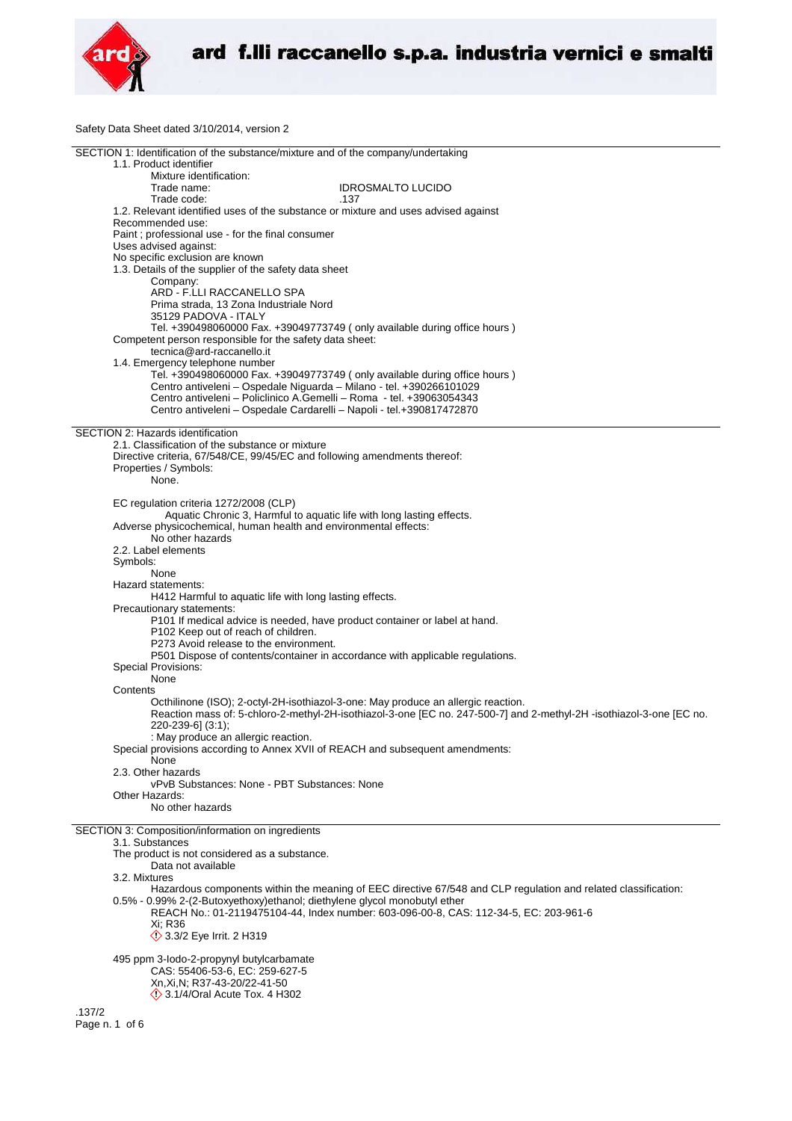

Safety Data Sheet dated 3/10/2014, version 2

| SECTION 1: Identification of the substance/mixture and of the company/undertaking                                                                                                            |
|----------------------------------------------------------------------------------------------------------------------------------------------------------------------------------------------|
| 1.1. Product identifier                                                                                                                                                                      |
| Mixture identification:                                                                                                                                                                      |
| Trade name:<br><b>IDROSMALTO LUCIDO</b><br>Trade code:<br>.137                                                                                                                               |
| 1.2. Relevant identified uses of the substance or mixture and uses advised against                                                                                                           |
| Recommended use:                                                                                                                                                                             |
| Paint; professional use - for the final consumer                                                                                                                                             |
| Uses advised against:                                                                                                                                                                        |
| No specific exclusion are known                                                                                                                                                              |
| 1.3. Details of the supplier of the safety data sheet<br>Company:                                                                                                                            |
| ARD - F.LLI RACCANELLO SPA                                                                                                                                                                   |
| Prima strada, 13 Zona Industriale Nord                                                                                                                                                       |
| 35129 PADOVA - ITALY                                                                                                                                                                         |
| Tel. +390498060000 Fax. +39049773749 (only available during office hours)                                                                                                                    |
| Competent person responsible for the safety data sheet:<br>tecnica@ard-raccanello.it                                                                                                         |
| 1.4. Emergency telephone number                                                                                                                                                              |
| Tel. +390498060000 Fax. +39049773749 (only available during office hours)                                                                                                                    |
| Centro antiveleni - Ospedale Niguarda - Milano - tel. +390266101029                                                                                                                          |
| Centro antiveleni – Policlinico A.Gemelli – Roma - tel. +39063054343                                                                                                                         |
| Centro antiveleni - Ospedale Cardarelli - Napoli - tel.+390817472870                                                                                                                         |
| SECTION 2: Hazards identification                                                                                                                                                            |
| 2.1. Classification of the substance or mixture                                                                                                                                              |
| Directive criteria, 67/548/CE, 99/45/EC and following amendments thereof:                                                                                                                    |
| Properties / Symbols:                                                                                                                                                                        |
| None.                                                                                                                                                                                        |
|                                                                                                                                                                                              |
| EC regulation criteria 1272/2008 (CLP)<br>Aquatic Chronic 3, Harmful to aquatic life with long lasting effects.                                                                              |
| Adverse physicochemical, human health and environmental effects:                                                                                                                             |
| No other hazards                                                                                                                                                                             |
| 2.2. Label elements                                                                                                                                                                          |
| Symbols:                                                                                                                                                                                     |
| None                                                                                                                                                                                         |
| Hazard statements:<br>H412 Harmful to aquatic life with long lasting effects.                                                                                                                |
| Precautionary statements:                                                                                                                                                                    |
| P101 If medical advice is needed, have product container or label at hand.                                                                                                                   |
| P102 Keep out of reach of children.                                                                                                                                                          |
| P273 Avoid release to the environment.                                                                                                                                                       |
| P501 Dispose of contents/container in accordance with applicable regulations.                                                                                                                |
| Special Provisions:<br>None                                                                                                                                                                  |
| Contents                                                                                                                                                                                     |
| Octhilinone (ISO); 2-octyl-2H-isothiazol-3-one: May produce an allergic reaction.                                                                                                            |
| Reaction mass of: 5-chloro-2-methyl-2H-isothiazol-3-one [EC no. 247-500-7] and 2-methyl-2H -isothiazol-3-one [EC no.                                                                         |
| 220-239-6] (3:1);                                                                                                                                                                            |
| : May produce an allergic reaction.<br>Special provisions according to Annex XVII of REACH and subsequent amendments:                                                                        |
| None                                                                                                                                                                                         |
| 2.3. Other hazards                                                                                                                                                                           |
| vPvB Substances: None - PBT Substances: None                                                                                                                                                 |
| Other Hazards:                                                                                                                                                                               |
| No other hazards                                                                                                                                                                             |
| SECTION 3: Composition/information on ingredients                                                                                                                                            |
| 3.1. Substances                                                                                                                                                                              |
| The product is not considered as a substance.                                                                                                                                                |
| Data not available                                                                                                                                                                           |
| 3.2. Mixtures                                                                                                                                                                                |
| Hazardous components within the meaning of EEC directive 67/548 and CLP regulation and related classification:<br>0.5% - 0.99% 2-(2-Butoxyethoxy) ethanol; diethylene glycol monobutyl ether |
| REACH No.: 01-2119475104-44, Index number: 603-096-00-8, CAS: 112-34-5, EC: 203-961-6                                                                                                        |
| Xi: R36                                                                                                                                                                                      |
| <b>12 3.3/2 Eye Irrit. 2 H319</b>                                                                                                                                                            |
|                                                                                                                                                                                              |
| 495 ppm 3-lodo-2-propynyl butylcarbamate<br>CAS: 55406-53-6, EC: 259-627-5                                                                                                                   |
| Xn, Xi, N; R37-43-20/22-41-50                                                                                                                                                                |
| $\Diamond$ 3.1/4/Oral Acute Tox. 4 H302                                                                                                                                                      |
| .137/2                                                                                                                                                                                       |
| Page n. 1 of 6                                                                                                                                                                               |
|                                                                                                                                                                                              |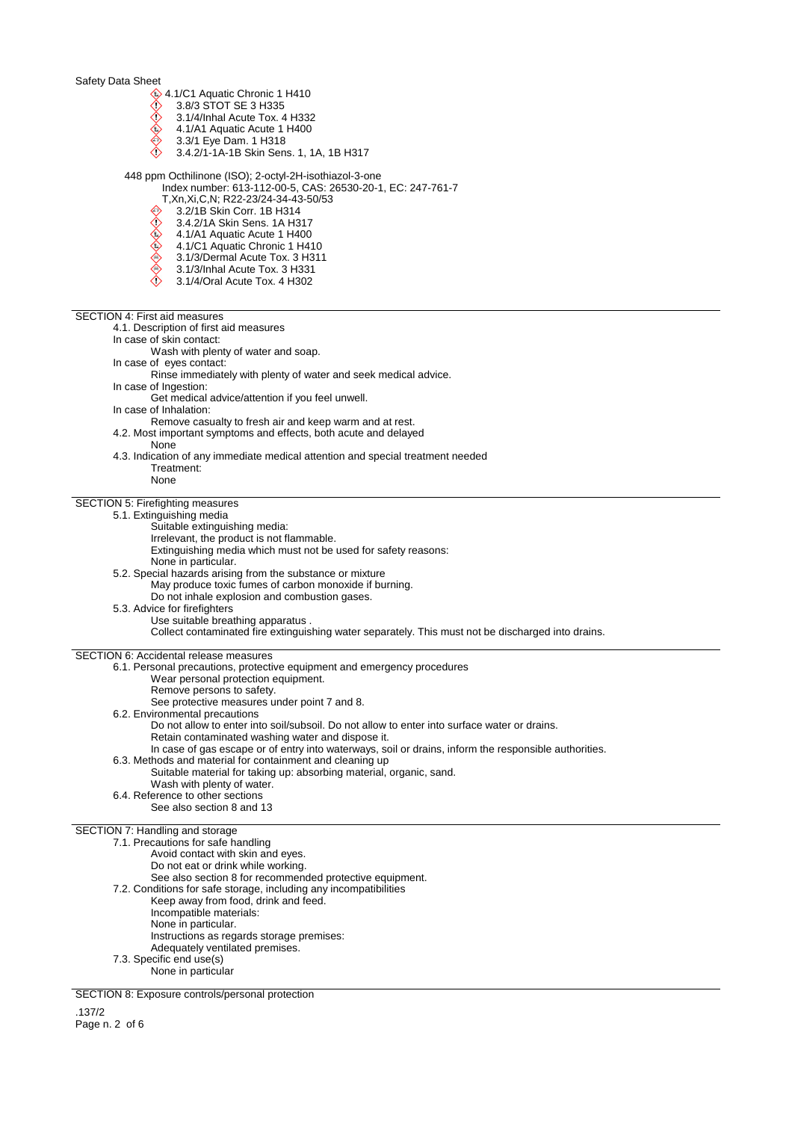- $\textcircled{\textcircled{\small 4.1/C1}}$  Aquatic Chronic 1 H410<br> $\textcircled{\small 1}$  3.8/3 STOT SE 3 H335
	- 3.8/3 STOT SE 3 H335
- $\Diamond$  3.1/4/Inhal Acute Tox. 4 H332 ◬
- 4.1/A1 Aquatic Acute 1 H400
- ♦ 3.3/1 Eye Dam. 1 H318  $\Diamond$
- 3.4.2/1-1A-1B Skin Sens. 1, 1A, 1B H317

448 ppm Octhilinone (ISO); 2-octyl-2H-isothiazol-3-one

- Index number: 613-112-00-5, CAS: 26530-20-1, EC: 247-761-7
	- T,Xn,Xi,C,N; R22-23/24-34-43-50/53<br>T,Xn,Xi,C,N; R22-23/24-34-43-50/53<br>③ 3.2/1B Skin Corr. 1B H314
	- 3.2/1B Skin Corr. 1B H314
	- 3.4.2/1A Skin Sens. 1A H317
	- 4.1/A1 Aquatic Acute 1 H400
	- 4.1/C1 Aquatic Chronic 1 H410
	- 3.1/3/Dermal Acute Tox. 3 H311
	- 3.1/3/Inhal Acute Tox. 3 H331
	- 3.1/4/Oral Acute Tox. 4 H302

SECTION 4: First aid measures

4.1. Description of first aid measures

In case of skin contact:

Wash with plenty of water and soap.

In case of eyes contact: Rinse immediately with plenty of water and seek medical advice.

- In case of Ingestion:
	- Get medical advice/attention if you feel unwell.
- In case of Inhalation:
- Remove casualty to fresh air and keep warm and at rest.
- 4.2. Most important symptoms and effects, both acute and delayed
- None
- 4.3. Indication of any immediate medical attention and special treatment needed Treatment:
	- None

## SECTION 5: Firefighting measures

# 5.1. Extinguishing media

- Suitable extinguishing media:
- Irrelevant, the product is not flammable.
- Extinguishing media which must not be used for safety reasons:
- None in particular.
- 5.2. Special hazards arising from the substance or mixture
	- May produce toxic fumes of carbon monoxide if burning.
		- Do not inhale explosion and combustion gases.
- 5.3. Advice for firefighters Use suitable breathing apparatus . Collect contaminated fire extinguishing water separately. This must not be discharged into drains.

SECTION 6: Accidental release measures

6.1. Personal precautions, protective equipment and emergency procedures

- Wear personal protection equipment.
- Remove persons to safety.
- See protective measures under point 7 and 8.
- 6.2. Environmental precautions
	- Do not allow to enter into soil/subsoil. Do not allow to enter into surface water or drains.
	- Retain contaminated washing water and dispose it.
	- In case of gas escape or of entry into waterways, soil or drains, inform the responsible authorities.
- 6.3. Methods and material for containment and cleaning up
- Suitable material for taking up: absorbing material, organic, sand.
	- Wash with plenty of water.
- 6.4. Reference to other sections
- See also section 8 and 13

# SECTION 7: Handling and storage

7.1. Precautions for safe handling Avoid contact with skin and eyes. Do not eat or drink while working. See also section 8 for recommended protective equipment. 7.2. Conditions for safe storage, including any incompatibilities Keep away from food, drink and feed. Incompatible materials: None in particular. Instructions as regards storage premises: Adequately ventilated premises. 7.3. Specific end use(s) None in particular

SECTION 8: Exposure controls/personal protection

.137/2 Page n. 2 of 6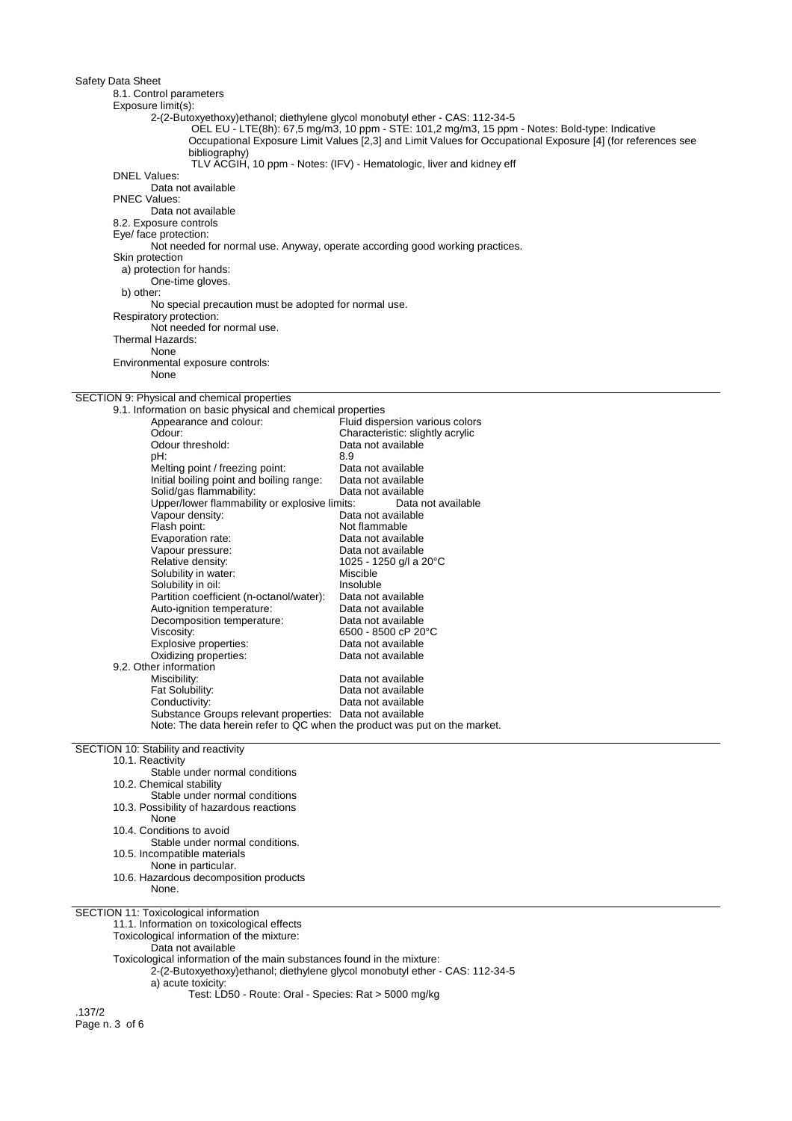8.1. Control parameters

## Exposure limit(s):

2-(2-Butoxyethoxy)ethanol; diethylene glycol monobutyl ether - CAS: 112-34-5

OEL EU - LTE(8h): 67,5 mg/m3, 10 ppm - STE: 101,2 mg/m3, 15 ppm - Notes: Bold-type: Indicative

Occupational Exposure Limit Values [2,3] and Limit Values for Occupational Exposure [4] (for references see bibliography)

TLV ACGIH, 10 ppm - Notes: (IFV) - Hematologic, liver and kidney eff

DNEL Values:

Data not available

PNEC Values:

# Data not available

8.2. Exposure controls

Eye/ face protection:

Not needed for normal use. Anyway, operate according good working practices.

# Skin protection

a) protection for hands:

One-time gloves. b) other:

No special precaution must be adopted for normal use.

Respiratory protection:

Not needed for normal use.

#### Thermal Hazards:

None

Environmental exposure controls:

None

# SECTION 9: Physical and chemical properties

| 9.1. Information on basic physical and chemical properties                |                                  |
|---------------------------------------------------------------------------|----------------------------------|
| Appearance and colour:                                                    | Fluid dispersion various colors  |
| Odour:                                                                    | Characteristic: slightly acrylic |
| Odour threshold:                                                          | Data not available               |
| pH:                                                                       | 8.9                              |
| Melting point / freezing point:                                           | Data not available               |
| Initial boiling point and boiling range:                                  | Data not available               |
| Solid/gas flammability:                                                   | Data not available               |
| Upper/lower flammability or explosive limits:                             | Data not available               |
| Vapour density:                                                           | Data not available               |
| Flash point:                                                              | Not flammable                    |
| Evaporation rate:                                                         | Data not available               |
| Vapour pressure:                                                          | Data not available               |
| Relative density:                                                         | 1025 - 1250 g/l a 20°C           |
| Solubility in water:                                                      | Miscible                         |
| Solubility in oil:                                                        | Insoluble                        |
| Partition coefficient (n-octanol/water):                                  | Data not available               |
| Auto-ignition temperature:                                                | Data not available               |
| Decomposition temperature:                                                | Data not available               |
| Viscosity:                                                                | 6500 - 8500 cP 20 °C             |
| Explosive properties:                                                     | Data not available               |
| Oxidizing properties:                                                     | Data not available               |
| 9.2. Other information                                                    |                                  |
| Miscibility:                                                              | Data not available               |
| Fat Solubility:                                                           | Data not available               |
| Conductivity:                                                             | Data not available               |
| Substance Groups relevant properties: Data not available                  |                                  |
| Note: The data herein refer to QC when the product was put on the market. |                                  |
|                                                                           |                                  |

SECTION 10: Stability and reactivity

10.1. Reactivity

Stable under normal conditions 10.2. Chemical stability Stable under normal conditions 10.3. Possibility of hazardous reactions None 10.4. Conditions to avoid Stable under normal conditions.

10.5. Incompatible materials

None in particular.

10.6. Hazardous decomposition products

None.

SECTION 11: Toxicological information

11.1. Information on toxicological effects

Toxicological information of the mixture:

Data not available

Toxicological information of the main substances found in the mixture:

2-(2-Butoxyethoxy)ethanol; diethylene glycol monobutyl ether - CAS: 112-34-5

a) acute toxicity:

Test: LD50 - Route: Oral - Species: Rat > 5000 mg/kg

.137/2 Page n. 3 of 6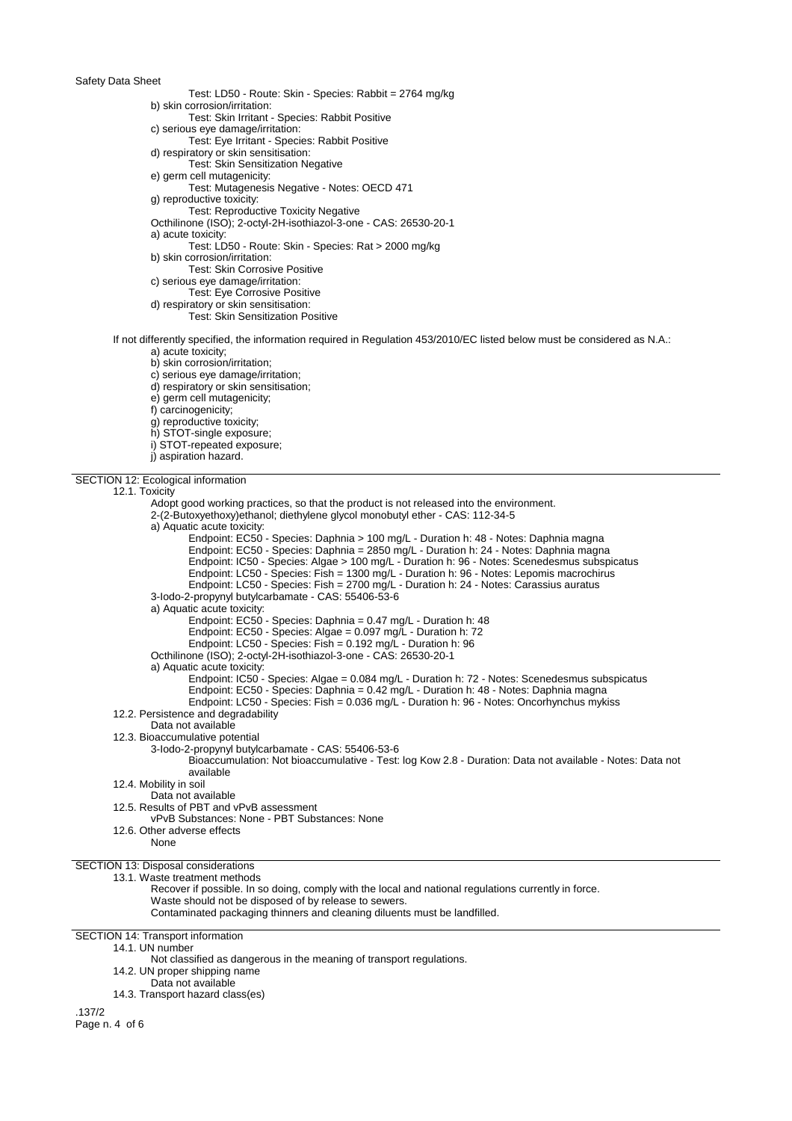- Test: LD50 Route: Skin Species: Rabbit = 2764 mg/kg
- b) skin corrosion/irritation:
- Test: Skin Irritant Species: Rabbit Positive
- c) serious eye damage/irritation:
- Test: Eye Irritant Species: Rabbit Positive
- d) respiratory or skin sensitisation:
- Test: Skin Sensitization Negative
- e) germ cell mutagenicity:
	- Test: Mutagenesis Negative Notes: OECD 471
- g) reproductive toxicity:
- Test: Reproductive Toxicity Negative
- Octhilinone (ISO); 2-octyl-2H-isothiazol-3-one CAS: 26530-20-1
- a) acute toxicity: Test: LD50 - Route: Skin - Species: Rat > 2000 mg/kg
- b) skin corrosion/irritation:
- Test: Skin Corrosive Positive
- c) serious eye damage/irritation:
- Test: Eye Corrosive Positive
- d) respiratory or skin sensitisation:
	- Test: Skin Sensitization Positive
- If not differently specified, the information required in Regulation 453/2010/EC listed below must be considered as N.A.:
	- a) acute toxicity;
	- b) skin corrosion/irritation;
	- c) serious eye damage/irritation;
	- d) respiratory or skin sensitisation;
	- e) germ cell mutagenicity;
	- f) carcinogenicity;
	- g) reproductive toxicity;
	- h) STOT-single exposure;
	- i) STOT-repeated exposure;
	-
	- j) aspiration hazard.

#### SECTION 12: Ecological information

#### 12.1. Toxicity

Adopt good working practices, so that the product is not released into the environment. 2-(2-Butoxyethoxy)ethanol; diethylene glycol monobutyl ether - CAS: 112-34-5 a) Aquatic acute toxicity: Endpoint: EC50 - Species: Daphnia > 100 mg/L - Duration h: 48 - Notes: Daphnia magna Endpoint: EC50 - Species: Daphnia = 2850 mg/L - Duration h: 24 - Notes: Daphnia magna Endpoint: IC50 - Species: Algae > 100 mg/L - Duration h: 96 - Notes: Scenedesmus subspicatus Endpoint: LC50 - Species: Fish = 1300 mg/L - Duration h: 96 - Notes: Lepomis macrochirus Endpoint: LC50 - Species: Fish = 2700 mg/L - Duration h: 24 - Notes: Carassius auratus 3-Iodo-2-propynyl butylcarbamate - CAS: 55406-53-6 a) Aquatic acute toxicity: Endpoint: EC50 - Species: Daphnia = 0.47 mg/L - Duration h: 48 Endpoint: EC50 - Species: Algae = 0.097 mg/L - Duration h: 72 Endpoint: LC50 - Species: Fish = 0.192 mg/L - Duration h: 96 Octhilinone (ISO); 2-octyl-2H-isothiazol-3-one - CAS: 26530-20-1 a) Aquatic acute toxicity: Endpoint: IC50 - Species: Algae = 0.084 mg/L - Duration h: 72 - Notes: Scenedesmus subspicatus Endpoint: EC50 - Species: Daphnia = 0.42 mg/L - Duration h: 48 - Notes: Daphnia magna Endpoint: LC50 - Species: Fish = 0.036 mg/L - Duration h: 96 - Notes: Oncorhynchus mykiss 12.2. Persistence and degradability Data not available 12.3. Bioaccumulative potential 3-Iodo-2-propynyl butylcarbamate - CAS: 55406-53-6 Bioaccumulation: Not bioaccumulative - Test: log Kow 2.8 - Duration: Data not available - Notes: Data not available 12.4. Mobility in soil Data not available 12.5. Results of PBT and vPvB assessment vPvB Substances: None - PBT Substances: None 12.6. Other adverse effects None SECTION 13: Disposal considerations 13.1. Waste treatment methods Recover if possible. In so doing, comply with the local and national regulations currently in force. Waste should not be disposed of by release to sewers. Contaminated packaging thinners and cleaning diluents must be landfilled. SECTION 14: Transport information 14.1. UN number Not classified as dangerous in the meaning of transport regulations. 14.2. UN proper shipping name Data not available

14.3. Transport hazard class(es)

.137/2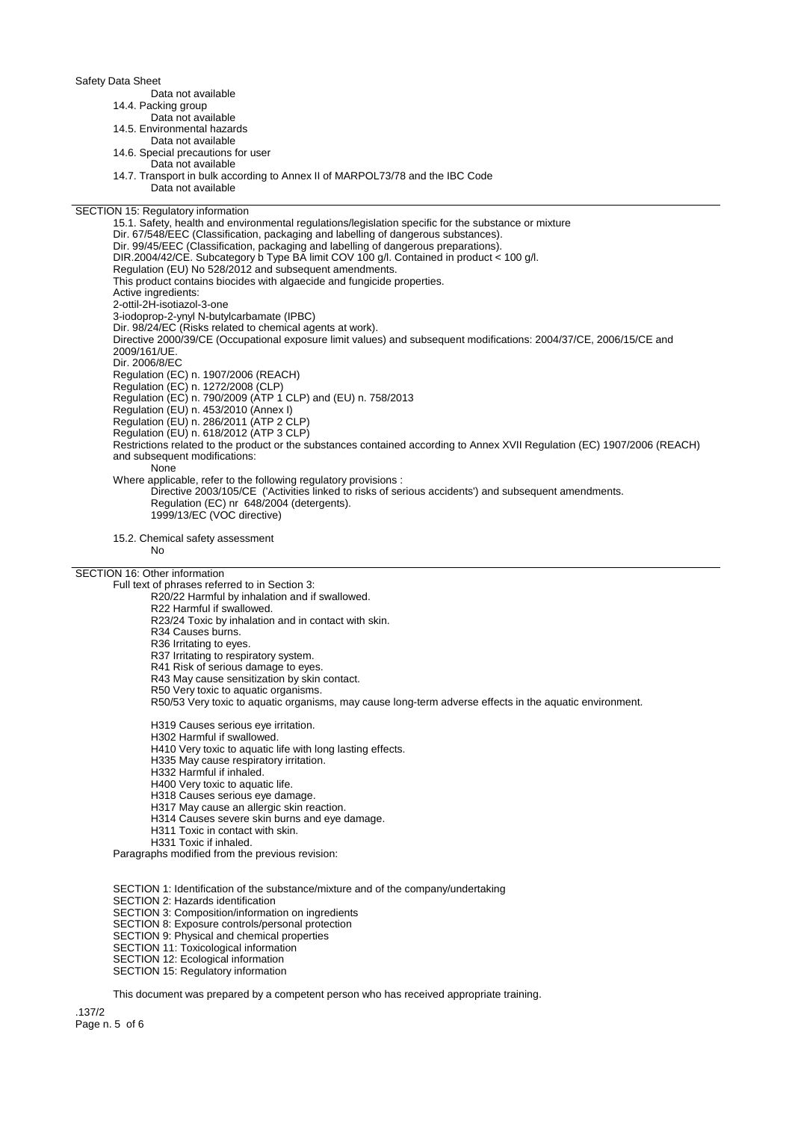Data not available

14.4. Packing group

Data not available

14.5. Environmental hazards

Data not available

14.6. Special precautions for user Data not available

14.7. Transport in bulk according to Annex II of MARPOL73/78 and the IBC Code

Data not available

# SECTION 15: Regulatory information

15.1. Safety, health and environmental regulations/legislation specific for the substance or mixture Dir. 67/548/EEC (Classification, packaging and labelling of dangerous substances). Dir. 99/45/EEC (Classification, packaging and labelling of dangerous preparations). DIR.2004/42/CE. Subcategory b Type BA limit COV 100 g/l. Contained in product < 100 g/l. Regulation (EU) No 528/2012 and subsequent amendments. This product contains biocides with algaecide and fungicide properties. Active ingredients: 2-ottil-2H-isotiazol-3-one 3-iodoprop-2-ynyl N-butylcarbamate (IPBC) Dir. 98/24/EC (Risks related to chemical agents at work). Directive 2000/39/CE (Occupational exposure limit values) and subsequent modifications: 2004/37/CE, 2006/15/CE and 2009/161/UE. Dir. 2006/8/EC Regulation (EC) n. 1907/2006 (REACH) Regulation (EC) n. 1272/2008 (CLP) Regulation (EC) n. 790/2009 (ATP 1 CLP) and (EU) n. 758/2013 Regulation (EU) n. 453/2010 (Annex I) Regulation (EU) n. 286/2011 (ATP 2 CLP) Regulation (EU) n. 618/2012 (ATP 3 CLP) Restrictions related to the product or the substances contained according to Annex XVII Regulation (EC) 1907/2006 (REACH) and subsequent modifications: None Where applicable, refer to the following regulatory provisions : Directive 2003/105/CE ('Activities linked to risks of serious accidents') and subsequent amendments. Regulation (EC) nr 648/2004 (detergents). 1999/13/EC (VOC directive)

15.2. Chemical safety assessment

No

## SECTION 16: Other information

Full text of phrases referred to in Section 3:

- R20/22 Harmful by inhalation and if swallowed.
- R22 Harmful if swallowed.

R23/24 Toxic by inhalation and in contact with skin.

- R34 Causes burns.
- R36 Irritating to eyes.
- R37 Irritating to respiratory system.
- R41 Risk of serious damage to eyes.
- R43 May cause sensitization by skin contact.
- R50 Very toxic to aquatic organisms.

R50/53 Very toxic to aquatic organisms, may cause long-term adverse effects in the aquatic environment.

H319 Causes serious eye irritation.

- H302 Harmful if swallowed.
- H410 Very toxic to aquatic life with long lasting effects.
- H335 May cause respiratory irritation.
- H332 Harmful if inhaled.
- H400 Very toxic to aquatic life.
- H318 Causes serious eye damage.
- H317 May cause an allergic skin reaction.
- H314 Causes severe skin burns and eye damage.
- H311 Toxic in contact with skin.
- H331 Toxic if inhaled.

Paragraphs modified from the previous revision:

SECTION 1: Identification of the substance/mixture and of the company/undertaking

SECTION 2: Hazards identification

- SECTION 3: Composition/information on ingredients
- SECTION 8: Exposure controls/personal protection
- **SECTION 9: Physical and chemical properties**
- SECTION 11: Toxicological information
- SECTION 12: Ecological information
- SECTION 15: Regulatory information

This document was prepared by a competent person who has received appropriate training.

.137/2 Page n. 5 of 6